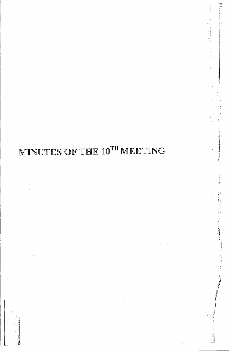# MINUTES OF THE 10TH MEETING

 $\frac{1}{2}$ 

特性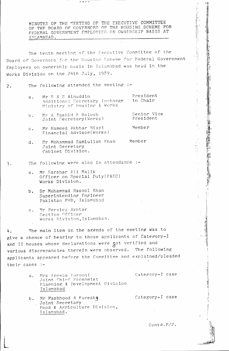MINUTES OF THE MEETING OF THE EXECUTIVE COMMITTEE OF THE BOARD OF GOVFRNORS OF THE HOUSING SCHEME FOR FEDERAL GOVERNMENT EMPLOYEES ON OWNERSHIP BASIS AT ISLAMABAD.

 $\overline{\phantom{a}}$ 

The tenth meeting of the Executive Committee of the Board of Governors for the Housing Scheme for Federal Government Employees on ownership basis in Islamabad was held in the Works Division on the 24th July, 1989.

#### The following attended the meeting :- $2.$

- Mr S A S Ainuddin President  $a$ . in Chair Additional Secretary Incharge Ministry of Housing & Works
- Senior Vice Mr A Rashid K Baloch  $b$ . Joint Secretary (Works) President
- Mr Hameed Akhtar Miazi Member  $c$ . Financial Advisor(Works)
- Mr Mohammad Samiullah Khan Member  $d$ . Joint Secretary Cabinet Division.

#### The following were also in attendance :- $3.$

- Mr Sarshar Ali Malik  $a_{\perp}$ Officer on Special Duty (P&EC) Works Division.
- b. Dr Muhammad Rasool Khan Superintending Engineer Pakistan PMD, Islamabad
- Mr Perviez Akhtar  $c$ . Section Officer Works Division, Islamabad.

The main item on the agenda of the meeting was to 4. give a chance of hearing to those applicants of Category-I and II houses whose declarations were  $\delta$  verified and various discrepancies therein were observed. The following applicants appeared before the Committee and explained/pleaded their cases :-

- Category-I case Mrs Aneesa Farooqi  $a$ . Joint Chief Feenomist Planning & Development Division Islamabad
- Category-I case b. Mr Mashhood A Kureshy Joint Secretary Food & Agriculture Division, Islamabad.

Contd.P/2.

 $\frac{1}{2}$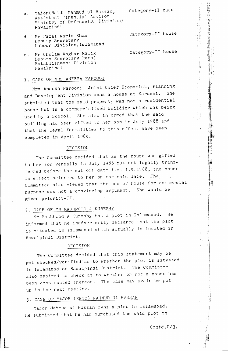c. Major(Retd) Mahmud ul Hassan, Category-II case Assistant Financial Advisor Ministry of Defence(DP Division) Rawalpindi.

. I

, $\mathbf{H}$  ,  $r_{\rm em}$  $\prod_{i=1}^n$  $\frac{1}{2}$ :~; .:=:"

, ,..i

i.

Ξţ.

! ,;\ ':'j  $\ell$  ,  $\frac{1}{2}$ 

> *~'i* '1, ! j

*J*

- d. Mr Fazal Karim Khan Category-II house Deputy Secretary Labour Division, Islamabad
- e. Mr Ghulam Asghar Malik Category-II house
- Deputy Secretary Retd) Establishmerit Division Rawalpindi

### **1.** CASE OF' MRS ANEESA FAROOQI

Mrs Aneesa Farooqi, Joint Chief Economist, Planning and Development Division owns a house at Karachi. She submitted that the said property was not a residential house but is a commercialised building which was being used by a School. She also informed that the said building had been gifted to her son in July 1988 and that the legal formalities to this effect have been completed in April 1989.

### DECISION

The Committee decided that as the house was gifted to her son verbally in July 1988 but not legally transferred before the cut off date i.e. 1.9.1988, the house in effect belonred to her on the said date. The Committee also viewed that the use of house for commercial  $_{\rm{nuroose}}$  was not a convincing argument. She would be given priority-II.

### 2. CASE OF MR MASHWOOD A KURESHY

Mr Mashhood A Kureshy has a plot in Islamabad. He informed that he inadvertently declared that the plot is situated in Islamabad which actually is located in Rawalpindi District.

#### DECISION

The Committee decided that this statement may be got checked/verified as to whether the plot is situated in Islamabad or Rawalpindi District. The Committee also desired to check as to whether or not a house has been constructed thereon. The case may again be put up in the next meeting.

## *3. CASE* OF' MAJOR (RFTD) MAHMUD UL HASSAN

Major Mahmud ul Hassan owns a plot in Islamabad. He submitted that he had purchased the said plot on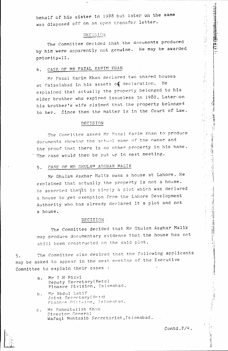behalf of his sister in 1978 but later on the same was disposed off on an open transfer letter.

### DEC IS ION

The Committee decided that the documents produced by him were apparently not genuine. He may be awarded priority-II.

## 4. CASE OF MR FAZAL KAPIM KHAN

Mr Fazal Karim Khan declared two shared houses at Faisalabad in his assets of declaration. He explained that actually the property belonged to his elder brother who expired issueless in 1980. Lateryon his brother's wife claimed that the property belonged to her. Since then the matter 1s in the Court of Law.

### DECISION

The Committee asked Mr Fazal Karim Khan to produce documents showing the actual name of the owner and the proof that there is no other property in his name. The case would then be put up in next meeting.

### 5. CASE OF MR GHULAM ASGHAR MALIK

Mr Ghulam Asghar Malik owns a house at Lahore. He exnlained that actually the property is not a house. He asserted that/it is simply a plot which was declared a house to get exemption from the Lahore Development Authority who has already decJared it a plot and not a house.

### DECISION.

The Committee decided that Mr qhulam Asghar Malik 'may produce documentary evidence that the house has not still been constructed 0n the said plot.

5. The Committee also desired that the following applicants may be asked to appear in the next meeting of the Executive Committee to explain their cases :

- a. Mr I.H Rizvi Deputy SecretAry(Retd) Finance Division, Islamabad.
- b. Mr Abdul Latif  $Joint$  Secretary (Retd) Finance Division, Islamabad.
- c. Mr Rahmatullah Khan Director General Wafaqi Mohtasib Secretariat, Islamabad.

**,'12,'2,'2,'3,'4** 

 $\mathbb{P}^1$  $\frac{1}{\lambda_{\rm{eff}}}$ 

医麻醉 医心室性炎

,'8  $\cdot$   $\cdot$   $\cdot$ 

, ,n ".! .,j , i 11 1  $\cdot \cdot$ 

a  $\bar{1}$ 

Ì.

';.1 ,-

 $\frac{1}{2}$ 

.II

~

, I ' .~

 $\frac{1}{2}$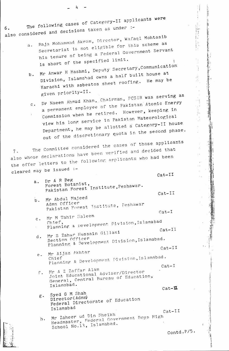The following cases of Category-II applicants were also considered and decisions taken as under :-

 $-\frac{1}{4}$ 

- $\mathbf{I}$ a. Raja Mohammad Akram, Director, Wafaqi Mohtasib Secretariat is not eligible for this scheme as his tenure of being a Federal Government Servant is short of the specified limit.
- $b_{\rm max}$  Mr  $H$  Anshmi, Deputy Secretary, Communication Division, Islamahad owns a half built house at Karachi with asbestos sheet roofing. He may be given priority-II.
- c. Dr Naeem Ahmad Khan, Chairman, PCSIR was serving as a permanent employee of the Pakistan Atomic Energy Commission when he retired. However, keeping in view his long service in Pakistan Mateorological Department, he may be allotted a Category-II house out of the discretionary quota in the second phase.

The Committee considered the cases of those applicants also whose declarations have been verified and decided that the offer letters to the following applicants who had been cleared may be issued :-

cat-II

. I I

, .. ' l' ,

, I'i

 $\cdots$ 

 $\sim$  .11  $\pm$ 1: I <sup>1</sup>1

i~ II

Ii ji  $\mathbf{i}$ 

| a.           | Dr A R Beg<br>Forest Botanist,<br>Pakistan Forest Institute, Peshawar.                                          | $Cat-IT$                      |
|--------------|-----------------------------------------------------------------------------------------------------------------|-------------------------------|
| b.           | Mr Abdul Majeed<br>Admn Officer<br>Pakistan Porest Institute, Peshawar                                          | $Cat-I$                       |
| $c$ .        | Mr M Tahir Saleem<br>Planning & Development Division, Islamabad<br>Chief,                                       |                               |
| d.           | Mr S Zahur Hussain Gillani                                                                                      | $Cat-II$                      |
|              | Section Officer<br>Planning & Development Division, Islamabad.                                                  |                               |
| е.           | Mr Aijaz Akhtar<br>Planning & Development Division, Islamabad.<br>Chief                                         | $Cat-II$                      |
| $\int$ .     | Mr A Z Zaffar Alam<br>Joint Educational Adviser/Director<br>General, Central Bureau of Education,<br>Islamabad. | $Cat-I$<br>$Cat - \mathbf{I}$ |
| $\epsilon$ . | Syed G M Shah<br>Director (Admn)<br>Federal Directorate of Education<br>Islamabad                               | $Cat-IF$                      |
| h.           | Mr Zaheer ud Din Sheikh<br>Headmaster, Federal Government Boys High<br>School No.13, Islamabad.                 |                               |

Contd. $P/5$ .

;i

 $^{\frac{1}{2}}$ 

;\ 11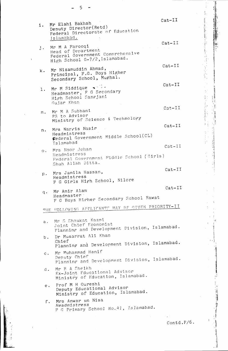| 1.             | Mr Elahi Bakhsh<br>Deputy Director(Retd)<br>Federal Directorate of Education                        | Cat-II                                                                                                                                                                       |
|----------------|-----------------------------------------------------------------------------------------------------|------------------------------------------------------------------------------------------------------------------------------------------------------------------------------|
| $\mathbf{j}$ . | Islamabad.<br>Mr M A Farooqi<br>Head of Department                                                  | $Cat-II$                                                                                                                                                                     |
|                | Federal Government Comprehensive<br>High School G-7/2, Islamabad.<br>Mr Nizamuddin Ahmad,           | $Cat-II$                                                                                                                                                                     |
| k.             | Principal, F.G. Boys Higher<br>Secondary School, Mughal.                                            | $Cat-II$                                                                                                                                                                     |
| $\mathbf 1$ .  | Mr M Siddique $\bullet$ $\cdots$<br>Headmaster, F G Secondary<br>High School Sangjani<br>Gujar Khan |                                                                                                                                                                              |
| $m$ .          | Mr M A Subhani<br>PS to Advisor<br>Ministry of Science & Technology                                 | $Cat-II$                                                                                                                                                                     |
| n.             | Mrs Nargis Nasir<br>Headmistress<br>Federal Government Middle School(CL)<br><b>Islamabad</b>        | $Cat-II$                                                                                                                                                                     |
|                | o. Mrs Noor Jehan<br>Headmistress<br>Federal Government Middle School (Girls)<br>Shah Allah Ditta.  | $Cat-II$                                                                                                                                                                     |
| $p$ .          | Mrs Jamila Hassan,<br>Headmistress<br>F G Girls High School, Nilore                                 | $Cat-II$                                                                                                                                                                     |
| $q$ .          | Mr Amir Alam<br>Headmaster<br>F G Boys Hirher Secondary School Rawat                                | $Cat-II$                                                                                                                                                                     |
|                | THE FOLLOWING APPLICANTS MAY BE GIVEN PRIORITY-II                                                   |                                                                                                                                                                              |
| a.             | Mr S Shaukat Kazmi<br>Joint Chief Economist<br>Planning and Development Division, Islamabad.        |                                                                                                                                                                              |
| b.             | Dr Musarrat Ali Khan<br>Chief<br>Planning and Development Division, Islamabad.                      |                                                                                                                                                                              |
| $c$ .          | Mr Muhammad Hanif<br>Deputy Chief<br>Planning and Development Division, Islamabad.                  |                                                                                                                                                                              |
| d.             | Mr E A Sheikh<br>Ex-Joint Fducational Advisor<br>Ministry of Education, Islamabad.                  |                                                                                                                                                                              |
|                | Prof M H Qureshi<br>e.<br>Deputy Educational Advisor<br>Ministry of Education, Islamabad.           |                                                                                                                                                                              |
|                | Mrs Anwar un Nisa<br>$\mathbf{f}$ .<br>Headmistress<br>F G Primary School No.41, Islamabad.         |                                                                                                                                                                              |
|                |                                                                                                     | $\mathcal{L}^{\mathcal{L}}(\mathcal{L}^{\mathcal{L}})$ and $\mathcal{L}^{\mathcal{L}}(\mathcal{L}^{\mathcal{L}})$ and $\mathcal{L}^{\mathcal{L}}(\mathcal{L}^{\mathcal{L}})$ |

Contd. $P/6$ .

 $\frac{1}{2}$ 

 $\frac{1}{2}$ 

,我们的人们就是一个人的人,我们就是一个人的人,我们就是一个人的人,我们就是我们的人,我们就是我们的人,我们就是一个人的人,我们就是一个人的人,我们就是我们的人,我们就是我们的人,我们的人,我们就是我们的人,我们就是我们的人,我们就是我们的人,我们就是我们的人,我们就是我们的人,我们就是我们的人,我们就是我们的人,我们就是我们的人,我们就是我们的人,我们就是我们的人,我们

n<br>Salam tan

 $\frac{1}{2}$ 

 $\bar{\bar{1}}$ 

 $\frac{1}{2}$ 

 $\cdot$ 

 $\bar{1}$  $\frac{1}{4}$  5

 $\bar{1}$ 

 $\ddot{\phantom{0}}$ 

 $\frac{1}{\sqrt{2}}$ 

 $\bar{\bar{1}}$